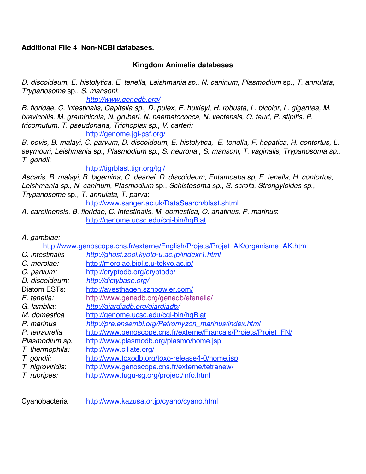## **Additional File 4 Non-NCBI databases.**

## **Kingdom Animalia databases**

*D. discoideum*, *E. histolytica*, *E. tenella*, *Leishmania sp.*, *N. caninum, Plasmodium* sp.*, T. annulata, Trypanosome* sp., *S. mansoni*:

*http://www.genedb.org/*

*B. floridae, C. intestinalis, Capitella sp., D. pulex*, *E. huxleyi*, *H. robusta*, *L. bicolor, L. gigantea, M. brevicollis, M. graminicola, N. gruberi, N. haematococca, N. vectensis, O. tauri, P. stipitis, P. tricornutum, T. pseudonana, Trichoplax sp., V. carteri:* http://genome.jgi-psf.org/

*B. bovis, B. malayi, C. parvum, D. discoideum, E. histolytica, E. tenella, F. hepatica, H. contortus, L.* 

*seymouri, Leishmania sp., Plasmodium sp., S. neurona., S. mansoni, T. vaginalis, Trypanosoma sp., T. gondii*:

http://tigrblast.tigr.org/tgi/

*Ascaris, B. malayi, B. bigemina*, *C. deanei*, *D. discoideum*, *Entamoeba sp*, *E. tenella*, *H. contortus, Leishmania sp.*, *N. caninum, Plasmodium* sp., *Schistosoma sp., S. scrofa, Strongyloides sp., Trypanosome* sp., *T. annulata, T. parva*:

http://www.sanger.ac.uk/DataSearch/blast.shtml

*A. carolinensis, B. floridae, C. intestinalis, M. domestica, O. anatinus, P. marinus*: http://genome.ucsc.edu/cgi-bin/hgBlat

## *A. gambiae:*

http://www.genoscope.cns.fr/externe/English/Projets/Projet\_AK/organisme\_AK.html

| C. intestinalis  | http://ghost.zool.kyoto-u.ac.jp/indexr1.html                    |
|------------------|-----------------------------------------------------------------|
| C. merolae:      | http://merolae.biol.s.u-tokyo.ac.jp/                            |
| C. parvum:       | http://cryptodb.org/cryptodb/                                   |
| D. discoideum:   | http://dictybase.org/                                           |
| Diatom ESTs:     | http://avesthagen.sznbowler.com/                                |
| E. tenella:      | http://www.genedb.org/genedb/etenella/                          |
| G. lamblia:      | http://giardiadb.org/giardiadb/                                 |
| M. domestica     | http://genome.ucsc.edu/cgi-bin/hqBlat                           |
| P. marinus       | http://pre.ensembl.org/Petromyzon_marinus/index.html            |
| P. tetraurelia   | http://www.genoscope.cns.fr/externe/Francais/Projets/Projet FN/ |
| Plasmodium sp.   | http://www.plasmodb.org/plasmo/home.jsp                         |
| T. thermophila:  | http://www.ciliate.org/                                         |
| T. gondii:       | http://www.toxodb.org/toxo-release4-0/home.jsp                  |
| T. nigroviridis: | http://www.genoscope.cns.fr/externe/tetranew/                   |
| T. rubripes:     | http://www.fugu-sg.org/project/info.html                        |

Cyanobacteria http://www.kazusa.or.jp/cyano/cyano.html